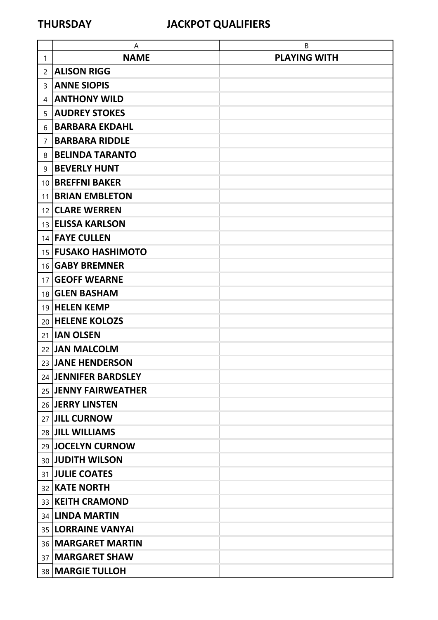|                 | A                          | B                   |
|-----------------|----------------------------|---------------------|
| 1               | <b>NAME</b>                | <b>PLAYING WITH</b> |
| 2               | <b>ALISON RIGG</b>         |                     |
| 3               | <b>ANNE SIOPIS</b>         |                     |
| 4               | <b>ANTHONY WILD</b>        |                     |
| 5               | <b>AUDREY STOKES</b>       |                     |
| 6               | <b>BARBARA EKDAHL</b>      |                     |
| 7               | <b>BARBARA RIDDLE</b>      |                     |
| 8               | <b>BELINDA TARANTO</b>     |                     |
| 9               | <b>BEVERLY HUNT</b>        |                     |
|                 | 10   BREFFNI BAKER         |                     |
| 11              | <b>BRIAN EMBLETON</b>      |                     |
|                 | 12 CLARE WERREN            |                     |
|                 | 13 ELISSA KARLSON          |                     |
|                 | 14 <b>FAYE CULLEN</b>      |                     |
|                 | 15 <b>FUSAKO HASHIMOTO</b> |                     |
|                 | 16 <b>GABY BREMNER</b>     |                     |
| 17 <sup>1</sup> | <b>GEOFF WEARNE</b>        |                     |
|                 | 18 GLEN BASHAM             |                     |
|                 | 19 HELEN KEMP              |                     |
|                 | 20 HELENE KOLOZS           |                     |
|                 | 21 <b>IAN OLSEN</b>        |                     |
|                 | 22 JAN MALCOLM             |                     |
|                 | 23 JANE HENDERSON          |                     |
|                 | 24 JENNIFER BARDSLEY       |                     |
|                 | 25 JENNY FAIRWEATHER       |                     |
|                 | 26 JERRY LINSTEN           |                     |
|                 | 27 JILL CURNOW             |                     |
|                 | 28 JILL WILLIAMS           |                     |
|                 | 29 JOCELYN CURNOW          |                     |
|                 | 30 JUDITH WILSON           |                     |
|                 | 31 JULIE COATES            |                     |
|                 | 32 KATE NORTH              |                     |
|                 | 33 KEITH CRAMOND           |                     |
|                 | 34 LINDA MARTIN            |                     |
|                 | 35  LORRAINE VANYAI        |                     |
|                 | 36   MARGARET MARTIN       |                     |
|                 | 37   MARGARET SHAW         |                     |
|                 | 38 MARGIE TULLOH           |                     |